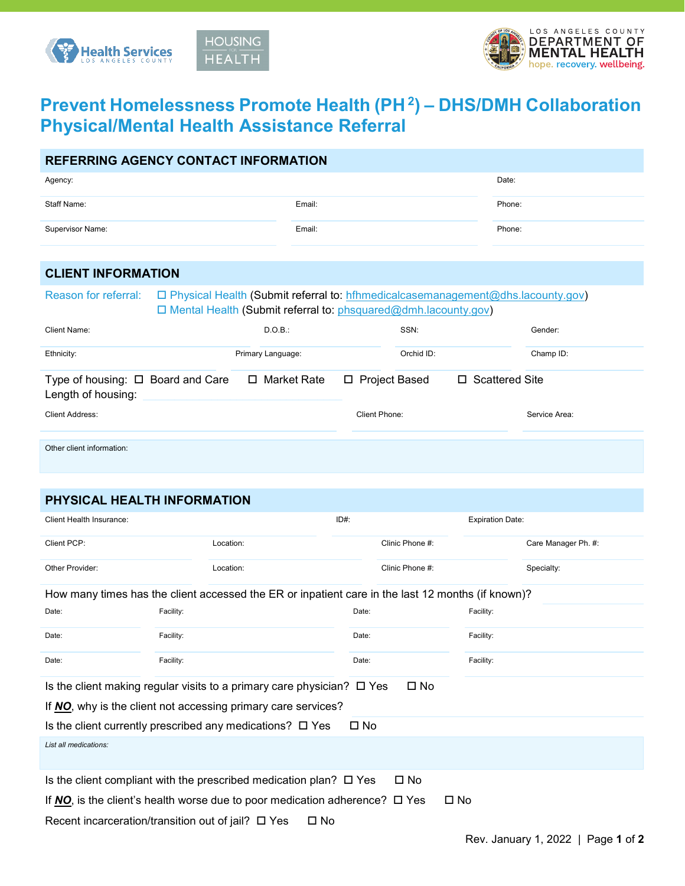



# **Prevent Homelessness Promote Health (PH 2) – DHS/DMH Collaboration Physical/Mental Health Assistance Referral**

|                                                              | <b>REFERRING AGENCY CONTACT INFORMATION</b>                                                                                                           |               |                 |                  |
|--------------------------------------------------------------|-------------------------------------------------------------------------------------------------------------------------------------------------------|---------------|-----------------|------------------|
| Agency:                                                      |                                                                                                                                                       |               |                 | Date:            |
| Staff Name:                                                  |                                                                                                                                                       | Email:        |                 | Phone:           |
| Supervisor Name:                                             |                                                                                                                                                       | Email:        |                 | Phone:           |
|                                                              |                                                                                                                                                       |               |                 |                  |
| <b>CLIENT INFORMATION</b>                                    |                                                                                                                                                       |               |                 |                  |
| Reason for referral:                                         | □ Physical Health (Submit referral to: hthmedicalcasemanagement@dhs.lacounty.gov)<br>□ Mental Health (Submit referral to: phsquared@dmh.lacounty.gov) |               |                 |                  |
| Client Name:                                                 |                                                                                                                                                       |               |                 |                  |
|                                                              |                                                                                                                                                       | D.O.B.:       | SSN:            | Gender:          |
| Ethnicity:                                                   | Primary Language:                                                                                                                                     |               | Orchid ID:      | Champ ID:        |
| Type of housing: $\Box$ Board and Care<br>Length of housing: |                                                                                                                                                       | □ Market Rate | □ Project Based | □ Scattered Site |
| Client Address:                                              |                                                                                                                                                       | Client Phone: |                 | Service Area:    |
|                                                              |                                                                                                                                                       |               |                 |                  |
| Other client information:                                    |                                                                                                                                                       |               |                 |                  |

## **PHYSICAL HEALTH INFORMATION**

| <b>Client Health Insurance:</b>                            |           |                                                                                                   | $ID#$ :      |                 | <b>Expiration Date:</b> |                     |
|------------------------------------------------------------|-----------|---------------------------------------------------------------------------------------------------|--------------|-----------------|-------------------------|---------------------|
| Client PCP:                                                |           | Location:                                                                                         |              | Clinic Phone #: |                         | Care Manager Ph. #: |
| Other Provider:                                            |           | Location:                                                                                         |              | Clinic Phone #: |                         | Specialty:          |
|                                                            |           | How many times has the client accessed the ER or inpatient care in the last 12 months (if known)? |              |                 |                         |                     |
| Date:                                                      | Facility: |                                                                                                   | Date:        |                 | Facility:               |                     |
| Date:                                                      | Facility: |                                                                                                   | Date:        |                 | Facility:               |                     |
| Date:                                                      | Facility: |                                                                                                   | Date:        |                 | Facility:               |                     |
|                                                            |           | Is the client making regular visits to a primary care physician? $\square$ Yes                    |              | $\square$ No    |                         |                     |
|                                                            |           | If NO, why is the client not accessing primary care services?                                     |              |                 |                         |                     |
|                                                            |           | Is the client currently prescribed any medications? $\Box$ Yes                                    | $\square$ No |                 |                         |                     |
| List all medications:                                      |           |                                                                                                   |              |                 |                         |                     |
|                                                            |           | Is the client compliant with the prescribed medication plan? $\square$ Yes                        |              | $\square$ No    |                         |                     |
|                                                            |           | If NO, is the client's health worse due to poor medication adherence? $\square$ Yes               |              | $\square$ No    |                         |                     |
| Recent incarceration/transition out of jail? $\square$ Yes |           | $\square$ No                                                                                      |              |                 |                         |                     |